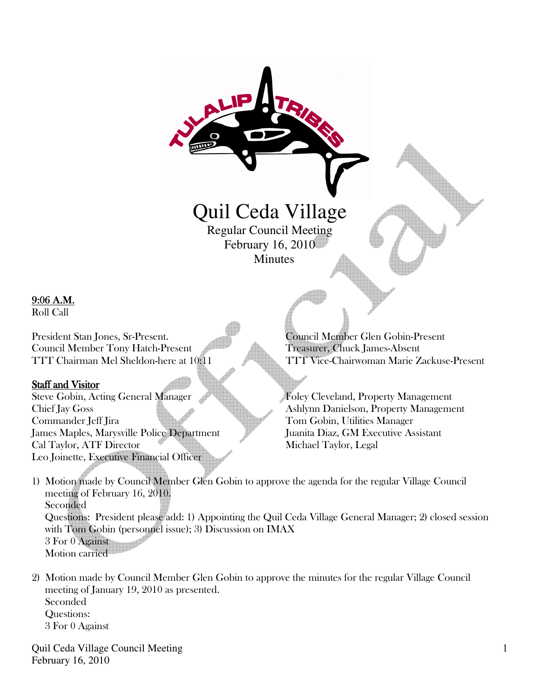# Quil Ceda Village Regular Council Meeting

February 16, 2010 Minutes

## 9:06A.M.

Roll Call

President Stan Jones, Sr-Present. Council Member Glen Gobin-Present Council Member Tony Hatch-Present Treasurer, Chuck James-Absent

## Staff and Visitor

Steve Gobin, Acting General Manager Foley Cleveland, Property Management Chief Jay Goss Ashlynn Danielson, Property Management Commander Jeff Jira Tom Gobin, Utilities Manager James Maples, Marysville Police Department Juanita Diaz, GM Executive Assistant Cal Taylor, ATF Director Michael Taylor, Legal Leo Joinette, Executive Financial Officer

TTT Chairman Mel Sheldon-here at 10:11 TTT Vice-Chairwoman Marie Zackuse-Present

1) Motion made by Council Member Glen Gobin to approve the agenda for the regular Village Council meeting of February 16, 2010. Seconded Questions: President please add: 1) Appointing the Quil Ceda Village General Manager; 2) closed session with Tom Gobin (personnel issue); 3) Discussion on IMAX 3 For 0 Against Motion carried

2) Motion made by Council Member Glen Gobin to approve the minutes for the regular Village Council meeting of January 19, 2010 as presented. Seconded Questions: 3 For 0 Against

Quil Ceda Village Council Meeting February 16, 2010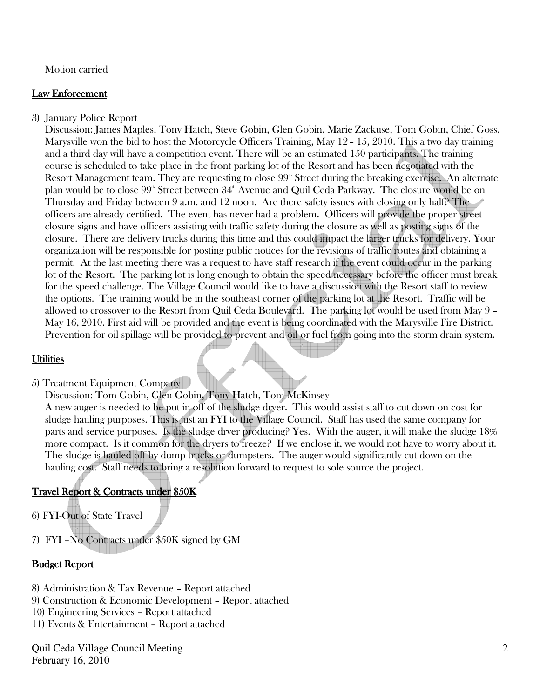#### Motion carried

#### Law Enforcement

3) January Police Report

 Discussion: James Maples, Tony Hatch, Steve Gobin, Glen Gobin, Marie Zackuse, Tom Gobin, Chief Goss, Marysville won the bid to host the Motorcycle Officers Training, May 12– 15, 2010. This a two day training and a third day will have a competition event. There will be an estimated 150 participants. The training course is scheduled to take place in the front parking lot of the Resort and has been negotiated with the Resort Management team. They are requesting to close  $99<sup>th</sup>$  Street during the breaking exercise. An alternate plan would be to close 99<sup>th</sup> Street between 34<sup>th</sup> Avenue and Quil Ceda Parkway. The closure would be on Thursday and Friday between 9 a.m. and 12 noon. Are there safety issues with closing only half? The officers are already certified. The event has never had a problem. Officers will provide the proper street closure signs and have officers assisting with traffic safety during the closure as well as posting signs of the closure. There are delivery trucks during this time and this could impact the larger trucks for delivery. Your organization will be responsible for posting public notices for the revisions of traffic routes and obtaining a permit. At the last meeting there was a request to have staff research if the event could occur in the parking lot of the Resort. The parking lot is long enough to obtain the speed necessary before the officer must break for the speed challenge. The Village Council would like to have a discussion with the Resort staff to review the options. The training would be in the southeast corner of the parking lot at the Resort. Traffic will be allowed to crossover to the Resort from Quil Ceda Boulevard. The parking lot would be used from May 9 – May 16, 2010. First aid will be provided and the event is being coordinated with the Marysville Fire District. Prevention for oil spillage will be provided to prevent and oil or fuel from going into the storm drain system.

#### **Utilities**

5) Treatment Equipment Company

 Discussion: Tom Gobin, Glen Gobin, Tony Hatch, Tom McKinsey A new auger is needed to be put in off of the sludge dryer. This would assist staff to cut down on cost for sludge hauling purposes. This is just an FYI to the Village Council. Staff has used the same company for parts and service purposes. Is the sludge dryer producing? Yes. With the auger, it will make the sludge 18% more compact. Is it common for the dryers to freeze? If we enclose it, we would not have to worry about it. The sludge is hauled off by dump trucks or dumpsters. The auger would significantly cut down on the hauling cost. Staff needs to bring a resolution forward to request to sole source the project.

## Travel Report & Contracts under \$50K

- 6) FYI-Out of State Travel
- 7) FYI –No Contracts under \$50K signed by GM

#### Budget Report

- 8) Administration & Tax Revenue Report attached
- 9) Construction & Economic Development Report attached
- 10) Engineering Services Report attached
- 11) Events & Entertainment Report attached